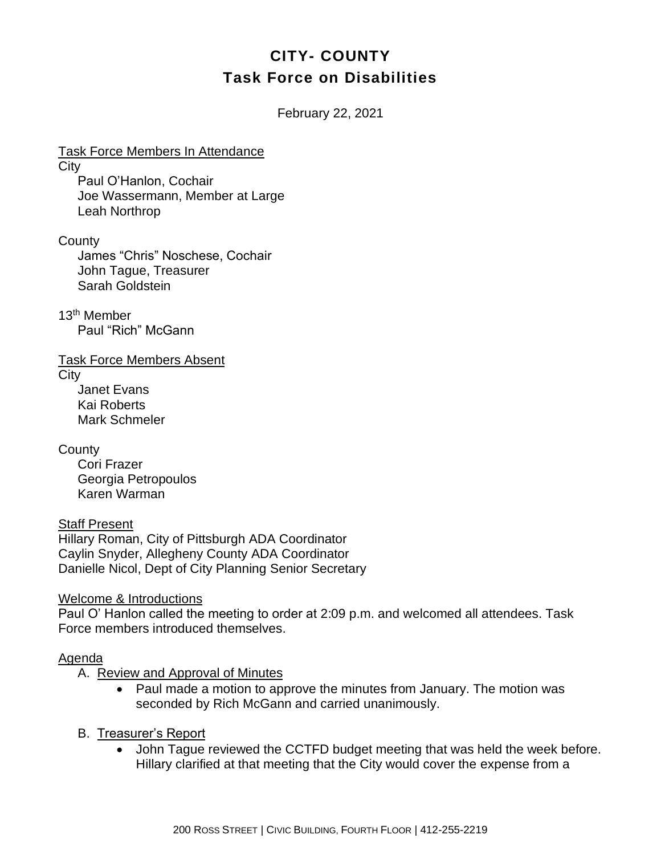# **CITY- COUNTY Task Force on Disabilities**

February 22, 2021

Task Force Members In Attendance **City** Paul O'Hanlon, Cochair Joe Wassermann, Member at Large Leah Northrop

**County** 

James "Chris" Noschese, Cochair John Tague, Treasurer Sarah Goldstein

13th Member Paul "Rich" McGann

Task Force Members Absent

**City** 

Janet Evans Kai Roberts Mark Schmeler

**County** 

Cori Frazer Georgia Petropoulos Karen Warman

Staff Present Hillary Roman, City of Pittsburgh ADA Coordinator Caylin Snyder, Allegheny County ADA Coordinator Danielle Nicol, Dept of City Planning Senior Secretary

Welcome & Introductions

Paul O' Hanlon called the meeting to order at 2:09 p.m. and welcomed all attendees. Task Force members introduced themselves.

#### Agenda

A. Review and Approval of Minutes

- Paul made a motion to approve the minutes from January. The motion was seconded by Rich McGann and carried unanimously.
- B. Treasurer's Report
	- John Tague reviewed the CCTFD budget meeting that was held the week before. Hillary clarified at that meeting that the City would cover the expense from a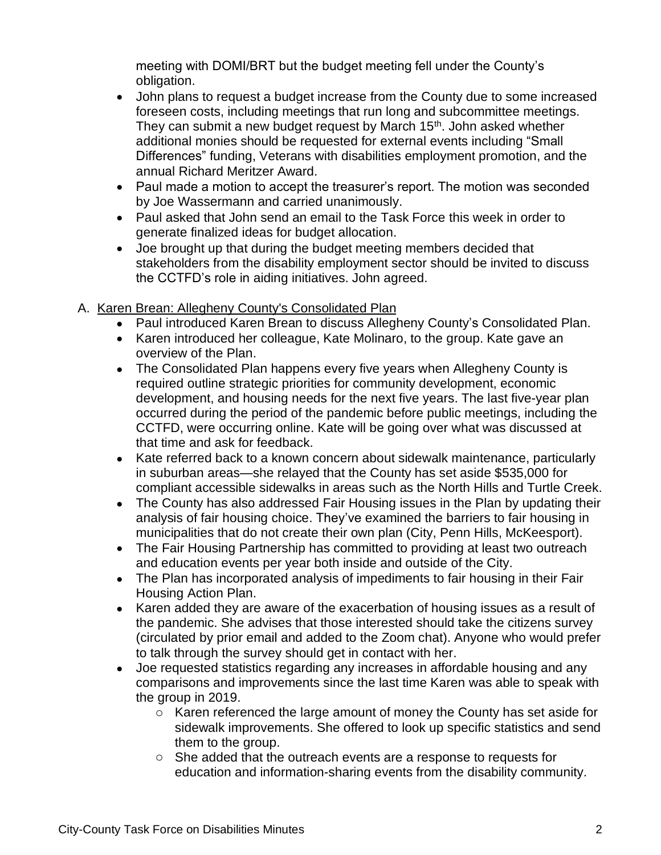meeting with DOMI/BRT but the budget meeting fell under the County's obligation.

- John plans to request a budget increase from the County due to some increased foreseen costs, including meetings that run long and subcommittee meetings. They can submit a new budget request by March 15<sup>th</sup>. John asked whether additional monies should be requested for external events including "Small Differences" funding, Veterans with disabilities employment promotion, and the annual Richard Meritzer Award.
- Paul made a motion to accept the treasurer's report. The motion was seconded by Joe Wassermann and carried unanimously.
- Paul asked that John send an email to the Task Force this week in order to generate finalized ideas for budget allocation.
- Joe brought up that during the budget meeting members decided that stakeholders from the disability employment sector should be invited to discuss the CCTFD's role in aiding initiatives. John agreed.

## A. Karen Brean: Allegheny County's Consolidated Plan

- Paul introduced Karen Brean to discuss Allegheny County's Consolidated Plan.
- Karen introduced her colleague, Kate Molinaro, to the group. Kate gave an overview of the Plan.
- The Consolidated Plan happens every five years when Allegheny County is required outline strategic priorities for community development, economic development, and housing needs for the next five years. The last five-year plan occurred during the period of the pandemic before public meetings, including the CCTFD, were occurring online. Kate will be going over what was discussed at that time and ask for feedback.
- Kate referred back to a known concern about sidewalk maintenance, particularly in suburban areas—she relayed that the County has set aside \$535,000 for compliant accessible sidewalks in areas such as the North Hills and Turtle Creek.
- The County has also addressed Fair Housing issues in the Plan by updating their analysis of fair housing choice. They've examined the barriers to fair housing in municipalities that do not create their own plan (City, Penn Hills, McKeesport).
- The Fair Housing Partnership has committed to providing at least two outreach and education events per year both inside and outside of the City.
- The Plan has incorporated analysis of impediments to fair housing in their Fair Housing Action Plan.
- Karen added they are aware of the exacerbation of housing issues as a result of the pandemic. She advises that those interested should take the citizens survey (circulated by prior email and added to the Zoom chat). Anyone who would prefer to talk through the survey should get in contact with her.
- Joe requested statistics regarding any increases in affordable housing and any comparisons and improvements since the last time Karen was able to speak with the group in 2019.
	- o Karen referenced the large amount of money the County has set aside for sidewalk improvements. She offered to look up specific statistics and send them to the group.
	- o She added that the outreach events are a response to requests for education and information-sharing events from the disability community.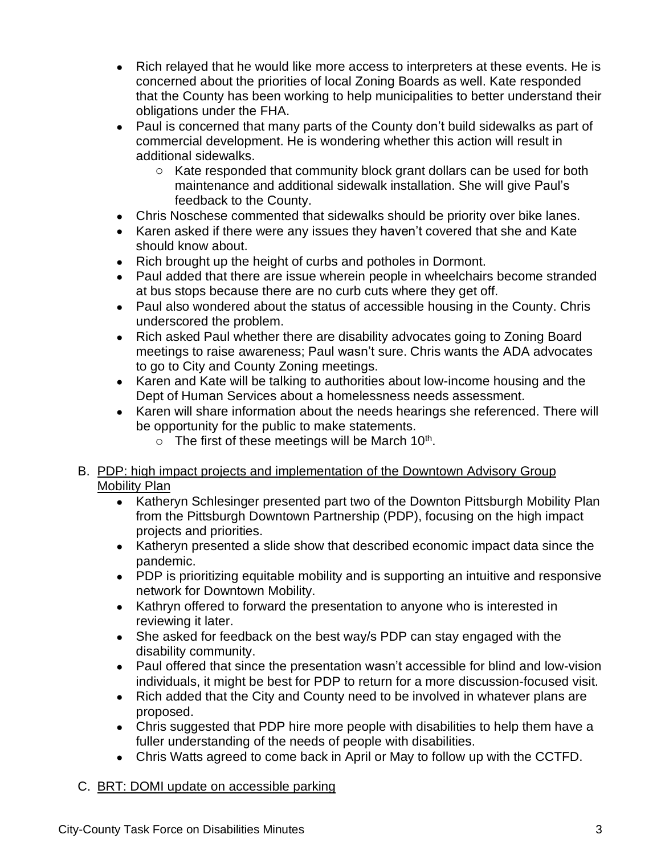- Rich relayed that he would like more access to interpreters at these events. He is concerned about the priorities of local Zoning Boards as well. Kate responded that the County has been working to help municipalities to better understand their obligations under the FHA.
- Paul is concerned that many parts of the County don't build sidewalks as part of commercial development. He is wondering whether this action will result in additional sidewalks.
	- o Kate responded that community block grant dollars can be used for both maintenance and additional sidewalk installation. She will give Paul's feedback to the County.
- Chris Noschese commented that sidewalks should be priority over bike lanes.
- Karen asked if there were any issues they haven't covered that she and Kate should know about.
- Rich brought up the height of curbs and potholes in Dormont.
- Paul added that there are issue wherein people in wheelchairs become stranded at bus stops because there are no curb cuts where they get off.
- Paul also wondered about the status of accessible housing in the County. Chris underscored the problem.
- Rich asked Paul whether there are disability advocates going to Zoning Board meetings to raise awareness; Paul wasn't sure. Chris wants the ADA advocates to go to City and County Zoning meetings.
- Karen and Kate will be talking to authorities about low-income housing and the Dept of Human Services about a homelessness needs assessment.
- Karen will share information about the needs hearings she referenced. There will be opportunity for the public to make statements.
	- $\circ$  The first of these meetings will be March 10<sup>th</sup>.

## B. PDP: high impact projects and implementation of the Downtown Advisory Group Mobility Plan

- Katheryn Schlesinger presented part two of the Downton Pittsburgh Mobility Plan from the Pittsburgh Downtown Partnership (PDP), focusing on the high impact projects and priorities.
- Katheryn presented a slide show that described economic impact data since the pandemic.
- PDP is prioritizing equitable mobility and is supporting an intuitive and responsive network for Downtown Mobility.
- Kathryn offered to forward the presentation to anyone who is interested in reviewing it later.
- She asked for feedback on the best way/s PDP can stay engaged with the disability community.
- Paul offered that since the presentation wasn't accessible for blind and low-vision individuals, it might be best for PDP to return for a more discussion-focused visit.
- Rich added that the City and County need to be involved in whatever plans are proposed.
- Chris suggested that PDP hire more people with disabilities to help them have a fuller understanding of the needs of people with disabilities.
- Chris Watts agreed to come back in April or May to follow up with the CCTFD.

## C. BRT: DOMI update on accessible parking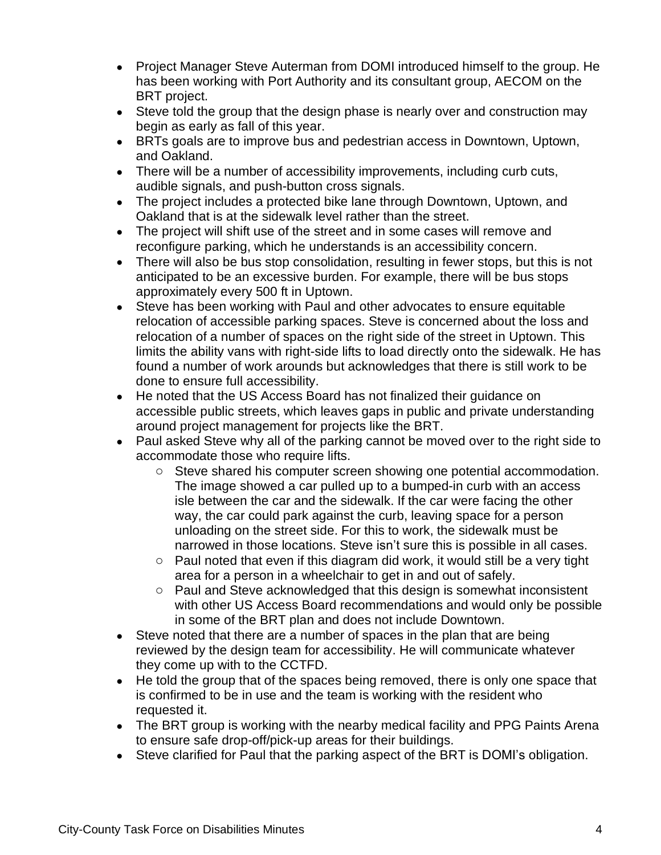- Project Manager Steve Auterman from DOMI introduced himself to the group. He has been working with Port Authority and its consultant group, AECOM on the BRT project.
- Steve told the group that the design phase is nearly over and construction may begin as early as fall of this year.
- BRTs goals are to improve bus and pedestrian access in Downtown, Uptown, and Oakland.
- There will be a number of accessibility improvements, including curb cuts, audible signals, and push-button cross signals.
- The project includes a protected bike lane through Downtown, Uptown, and Oakland that is at the sidewalk level rather than the street.
- The project will shift use of the street and in some cases will remove and reconfigure parking, which he understands is an accessibility concern.
- There will also be bus stop consolidation, resulting in fewer stops, but this is not anticipated to be an excessive burden. For example, there will be bus stops approximately every 500 ft in Uptown.
- Steve has been working with Paul and other advocates to ensure equitable relocation of accessible parking spaces. Steve is concerned about the loss and relocation of a number of spaces on the right side of the street in Uptown. This limits the ability vans with right-side lifts to load directly onto the sidewalk. He has found a number of work arounds but acknowledges that there is still work to be done to ensure full accessibility.
- He noted that the US Access Board has not finalized their guidance on accessible public streets, which leaves gaps in public and private understanding around project management for projects like the BRT.
- Paul asked Steve why all of the parking cannot be moved over to the right side to accommodate those who require lifts.
	- $\circ$  Steve shared his computer screen showing one potential accommodation. The image showed a car pulled up to a bumped-in curb with an access isle between the car and the sidewalk. If the car were facing the other way, the car could park against the curb, leaving space for a person unloading on the street side. For this to work, the sidewalk must be narrowed in those locations. Steve isn't sure this is possible in all cases.
	- o Paul noted that even if this diagram did work, it would still be a very tight area for a person in a wheelchair to get in and out of safely.
	- o Paul and Steve acknowledged that this design is somewhat inconsistent with other US Access Board recommendations and would only be possible in some of the BRT plan and does not include Downtown.
- Steve noted that there are a number of spaces in the plan that are being reviewed by the design team for accessibility. He will communicate whatever they come up with to the CCTFD.
- He told the group that of the spaces being removed, there is only one space that is confirmed to be in use and the team is working with the resident who requested it.
- The BRT group is working with the nearby medical facility and PPG Paints Arena to ensure safe drop-off/pick-up areas for their buildings.
- Steve clarified for Paul that the parking aspect of the BRT is DOMI's obligation.